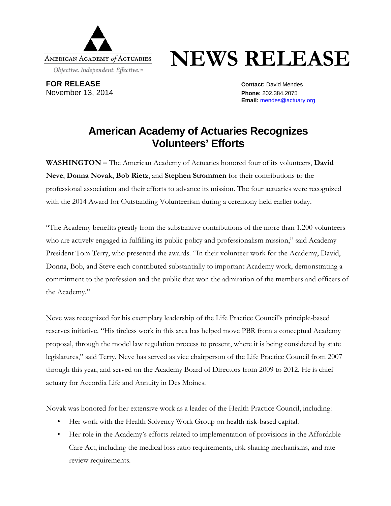

## **NEWS RELEASE**

**FOR RELEASE Contact:** David Mendes November 13, 2014 **Phone:** 202.384.2075

**Email:** [mendes@actuary.org](mailto:mendes@actuary.org)

## **American Academy of Actuaries Recognizes Volunteers' Efforts**

**WASHINGTON –** The American Academy of Actuaries honored four of its volunteers, **David Neve**, **Donna Novak**, **Bob Rietz**, and **Stephen Strommen** for their contributions to the professional association and their efforts to advance its mission. The four actuaries were recognized with the 2014 Award for Outstanding Volunteerism during a ceremony held earlier today.

"The Academy benefits greatly from the substantive contributions of the more than 1,200 volunteers who are actively engaged in fulfilling its public policy and professionalism mission," said Academy President Tom Terry, who presented the awards. "In their volunteer work for the Academy, David, Donna, Bob, and Steve each contributed substantially to important Academy work, demonstrating a commitment to the profession and the public that won the admiration of the members and officers of the Academy."

Neve was recognized for his exemplary leadership of the Life Practice Council's principle-based reserves initiative. "His tireless work in this area has helped move PBR from a conceptual Academy proposal, through the model law regulation process to present, where it is being considered by state legislatures," said Terry. Neve has served as vice chairperson of the Life Practice Council from 2007 through this year, and served on the Academy Board of Directors from 2009 to 2012. He is chief actuary for Accordia Life and Annuity in Des Moines.

Novak was honored for her extensive work as a leader of the Health Practice Council, including:

- Her work with the Health Solvency Work Group on health risk-based capital.
- Her role in the Academy's efforts related to implementation of provisions in the Affordable Care Act, including the medical loss ratio requirements, risk-sharing mechanisms, and rate review requirements.